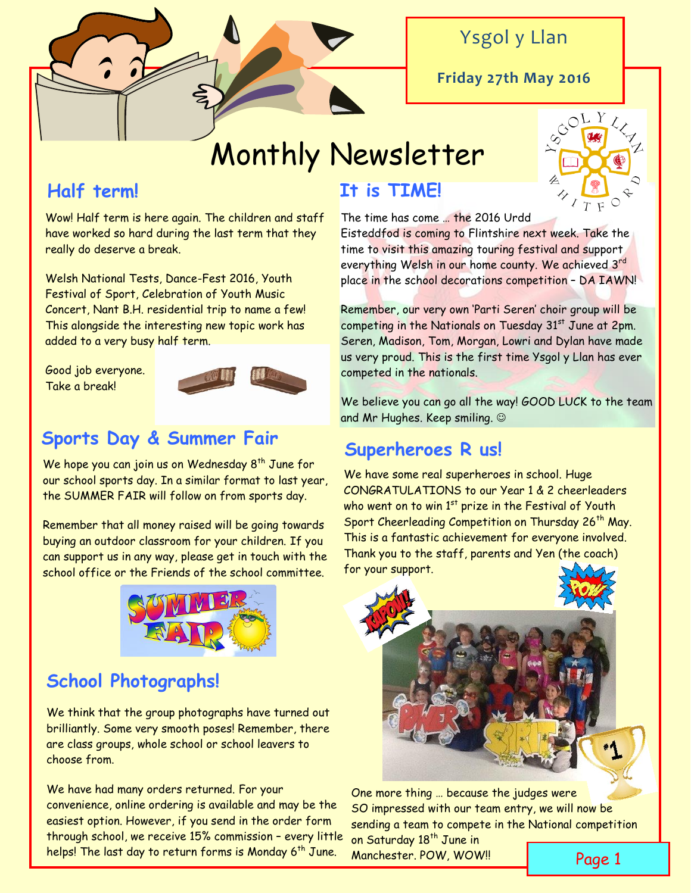

### Ysgol y Llan

**Friday 27th May 2016**

# Monthly Newsletter

### **Half term!**

Wow! Half term is here again. The children and staff have worked so hard during the last term that they really do deserve a break.

Welsh National Tests, Dance-Fest 2016, Youth Festival of Sport, Celebration of Youth Music Concert, Nant B.H. residential trip to name a few! This alongside the interesting new topic work has added to a very busy half term.

Good job everyone. Take a break!



### **Sports Day & Summer Fair**

We hope you can join us on Wednesday  $8^{th}$  June for our school sports day. In a similar format to last year, the SUMMER FAIR will follow on from sports day.

Remember that all money raised will be going towards buying an outdoor classroom for your children. If you can support us in any way, please get in touch with the school office or the Friends of the school committee.



## **School Photographs!**

We think that the group photographs have turned out brilliantly. Some very smooth poses! Remember, there are class groups, whole school or school leavers to choose from.

We have had many orders returned. For your convenience, online ordering is available and may be the easiest option. However, if you send in the order form through school, we receive 15% commission – every little helps! The last day to return forms is Monday 6<sup>th</sup> June. Manchester. POW, WOW!! **Page 1** 

### **It is TIME!**



The time has come … the 2016 Urdd Eisteddfod is coming to Flintshire next week. Take the time to visit this amazing touring festival and support everything Welsh in our home county. We achieved 3rd place in the school decorations competition – DA IAWN!

Remember, our very own 'Parti Seren' choir group will be competing in the Nationals on Tuesday 31<sup>st</sup> June at 2pm. Seren, Madison, Tom, Morgan, Lowri and Dylan have made us very proud. This is the first time Ysgol y Llan has ever competed in the nationals.

We believe you can go all the way! GOOD LUCK to the team and Mr Hughes. Keep smiling.

### **Superheroes R us!**

We have some real superheroes in school. Huge CONGRATULATIONS to our Year 1 & 2 cheerleaders who went on to win  $1<sup>st</sup>$  prize in the Festival of Youth Sport Cheerleading Competition on Thursday 26<sup>th</sup> May. This is a fantastic achievement for everyone involved. Thank you to the staff, parents and Yen (the coach) for your support.



One more thing … because the judges were SO impressed with our team entry, we will now be sending a team to compete in the National competition

on Saturday 18<sup>th</sup> June in Manchester. POW, WOW!!

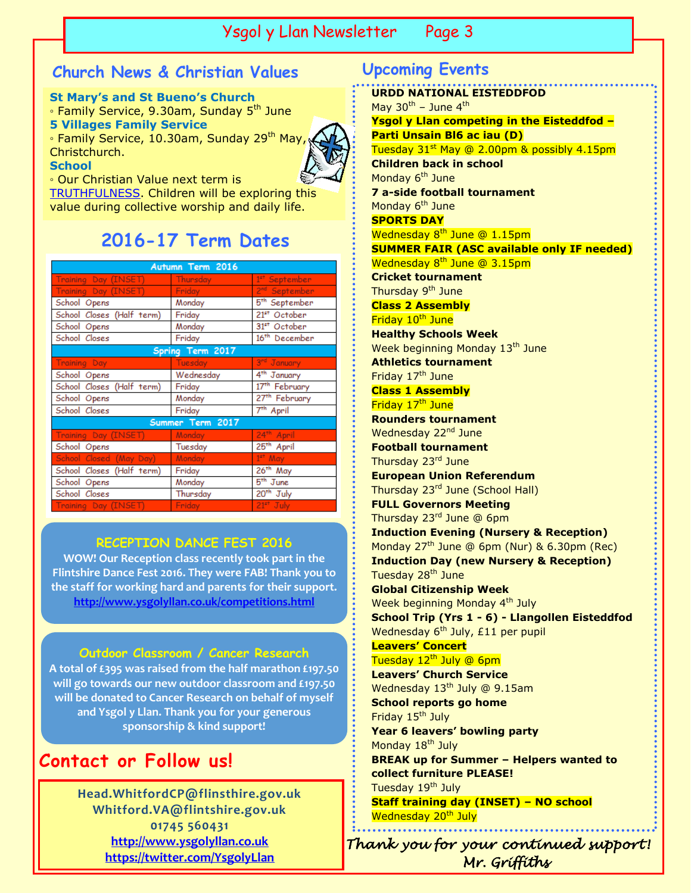#### Ysgol y Llan Newsletter Page 2 Ysgol y Llan Newsletter Page 3

### **Church News & Christian Values Upcoming Events**

**St Mary's and St Bueno's Church**  ∘ Family Service, 9.30am, Sunday 5<sup>th</sup> June **5 Villages Family Service** ◦ Family Service, 10.30am, Sunday 29th May,

Christchurch.

**School**

◦ Our Christian Value next term is

[TRUTHFULNESS.](http://www.ysgolyllan.co.uk/uploads/6/0/9/8/60987703/truthfulness.pdf) Children will be exploring this value during collective worship and daily life.

### **2016-17 Term Dates**

| Autumn Term 2016          |                 |                           |  |  |  |  |  |
|---------------------------|-----------------|---------------------------|--|--|--|--|--|
| Training Day (INSET)      | <b>Thursday</b> | 1 <sup>st</sup> September |  |  |  |  |  |
| Training Day (INSET)      | Friday          | 2 <sup>nd</sup> September |  |  |  |  |  |
| School Opens              | Monday          | 5 <sup>th</sup> September |  |  |  |  |  |
| School Closes (Half term) | Friday          | 21st October              |  |  |  |  |  |
| School Opens              | Monday          | 31st October              |  |  |  |  |  |
| School Closes             | Friday          | 16 <sup>th</sup> December |  |  |  |  |  |
| Spring Term 2017          |                 |                           |  |  |  |  |  |
| <b>Training Day</b>       | <b>Tuesday</b>  | 3rd January               |  |  |  |  |  |
| School Opens              | Wednesday       | 4 <sup>th</sup> January   |  |  |  |  |  |
| School Closes (Half term) | Friday          | 17 <sup>th</sup> February |  |  |  |  |  |
| School Opens              | Monday          | 27 <sup>th</sup> February |  |  |  |  |  |
| School Closes             | Friday          | 7 <sup>th</sup> April     |  |  |  |  |  |
| Summer Term 2017          |                 |                           |  |  |  |  |  |
| Training Day (INSET)      | Monday.         | 24 <sup>th</sup> April    |  |  |  |  |  |
| School Opens              | Tuesday         | 25 <sup>th</sup> April    |  |  |  |  |  |
| School Closed (May Day)   | <b>Monday</b>   | $1st$ May                 |  |  |  |  |  |
| School Closes (Half term) | Friday          | 26 <sup>th</sup> May      |  |  |  |  |  |
| School Opens              | Monday          | 5 <sup>th</sup> June      |  |  |  |  |  |
| School Closes             | Thursday        | 20 <sup>th</sup> July     |  |  |  |  |  |
| Training Day (INSET)      | Friday          | $21st$ July               |  |  |  |  |  |

#### **RECEPTION DANCE FEST 2016**

**WOW! Our Reception class recently took part in the Flintshire Dance Fest 2016. They were FAB! Thank you to the staff for working hard and parents for their support. <http://www.ysgolyllan.co.uk/competitions.html>**

#### **Outdoor Classroom / Cancer Research**

**A total of £395 was raised from the half marathon £197.50 will go towards our new outdoor classroom and £197.50 will be donated to Cancer Research on behalf of myself and Ysgol y Llan. Thank you for your generous sponsorship & kind support!**

### **Contact or Follow us!**

**Head.WhitfordCP@flinsthire.gov.uk Whitford.VA@flintshire.gov.uk 01745 560431 [http://www.ysgolyllan.co.uk](http://www.ysgolyllan.co.uk/) <https://twitter.com/YsgolyLlan>**

**URDD NATIONAL EISTEDDFOD** May  $30^{th}$  – June  $4^{th}$ **Ysgol y Llan competing in the Eisteddfod – Parti Unsain Bl6 ac iau (D)** Tuesday 31<sup>st</sup> May @ 2.00pm & possibly 4.15pm **Children back in school** Monday  $6<sup>th</sup>$  June **7 a-side football tournament** Monday 6<sup>th</sup> June **SPORTS DAY**  Wednesday 8<sup>th</sup> June @ 1.15pm **SUMMER FAIR (ASC available only IF needed)** Wednesday 8<sup>th</sup> June @ 3.15pm **Cricket tournament** Thursday 9<sup>th</sup> June **Class 2 Assembly** Friday 10<sup>th</sup> June **Healthy Schools Week** Week beginning Monday 13<sup>th</sup> June **Athletics tournament** Friday 17<sup>th</sup> June **Class 1 Assembly** Friday 17<sup>th</sup> June **Rounders tournament** Wednesday 22<sup>nd</sup> June **Football tournament** Thursday 23rd June **European Union Referendum** Thursday 23<sup>rd</sup> June (School Hall) **FULL Governors Meeting** Thursday 23rd June @ 6pm **Induction Evening (Nursery & Reception)** Monday  $27<sup>th</sup>$  June @ 6pm (Nur) & 6.30pm (Rec) **Induction Day (new Nursery & Reception)** Tuesday 28<sup>th</sup> June **Global Citizenship Week** Week beginning Monday 4<sup>th</sup> July **School Trip (Yrs 1 - 6) - Llangollen Eisteddfod** Wednesday 6<sup>th</sup> July, £11 per pupil **Leavers' Concert** Tuesday  $12^{\text{th}}$  July @ 6pm **Leavers' Church Service** Wednesday 13<sup>th</sup> July @ 9.15am **School reports go home** Friday 15<sup>th</sup> July **Year 6 leavers' bowling party** Monday 18<sup>th</sup> July **BREAK up for Summer – Helpers wanted to collect furniture PLEASE!** Tuesday 19<sup>th</sup> July

**Staff training day (INSET) – NO school** Wednesday 20<sup>th</sup> July

*Thank you for your continued support! Mr. Griffiths*